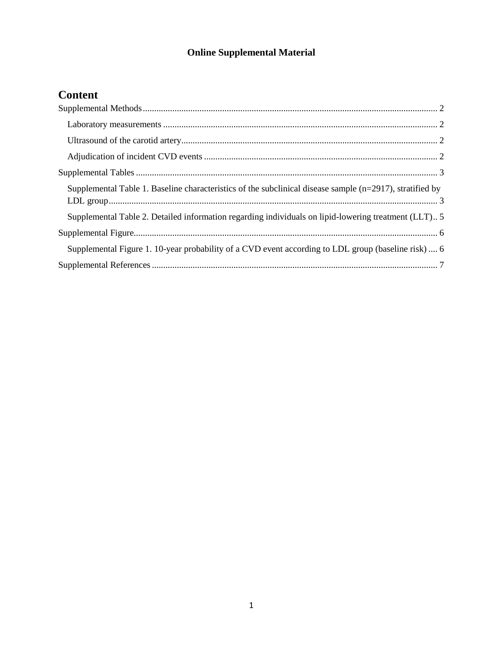## **Online Supplemental Material**

# **Content**

| Supplemental Table 1. Baseline characteristics of the subclinical disease sample $(n=2917)$ , stratified by |
|-------------------------------------------------------------------------------------------------------------|
| Supplemental Table 2. Detailed information regarding individuals on lipid-lowering treatment (LLT)5         |
|                                                                                                             |
| Supplemental Figure 1. 10-year probability of a CVD event according to LDL group (baseline risk)  6         |
|                                                                                                             |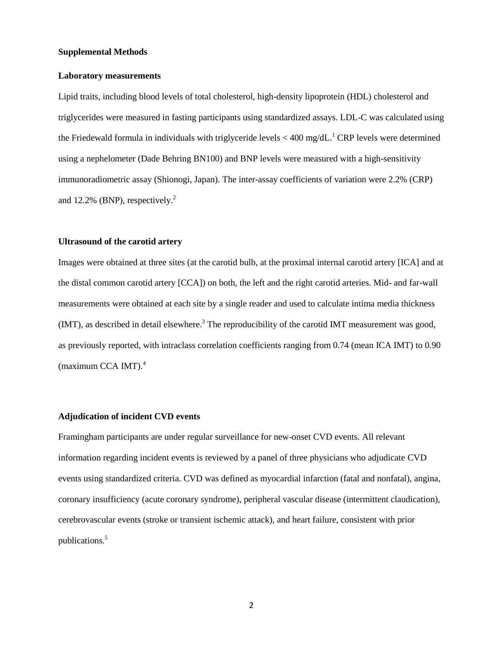#### <span id="page-1-0"></span>**Supplemental Methods**

#### <span id="page-1-1"></span>**Laboratory measurements**

Lipid traits, including blood levels of total cholesterol, high-density lipoprotein (HDL) cholesterol and triglycerides were measured in fasting participants using standardized assays. LDL-C was calculated using the Friedewald formula in individuals with triglyceride levels  $<$  400 mg/dL.<sup>1</sup> CRP levels were determined using a nephelometer (Dade Behring BN100) and BNP levels were measured with a high-sensitivity immunoradiometric assay (Shionogi, Japan). The inter-assay coefficients of variation were 2.2% (CRP) and 12.2% (BNP), respectively.<sup>2</sup>

#### <span id="page-1-2"></span>**Ultrasound of the carotid artery**

Images were obtained at three sites (at the carotid bulb, at the proximal internal carotid artery [ICA] and at the distal common carotid artery [CCA]) on both, the left and the right carotid arteries. Mid- and far-wall measurements were obtained at each site by a single reader and used to calculate intima media thickness  $(MT)$ , as described in detail elsewhere.<sup>3</sup> The reproducibility of the carotid IMT measurement was good, as previously reported, with intraclass correlation coefficients ranging from 0.74 (mean ICA IMT) to 0.90 (maximum CCA IMT). $4$ 

#### <span id="page-1-3"></span>**Adjudication of incident CVD events**

Framingham participants are under regular surveillance for new-onset CVD events. All relevant information regarding incident events is reviewed by a panel of three physicians who adjudicate CVD events using standardized criteria. CVD was defined as myocardial infarction (fatal and nonfatal), angina, coronary insufficiency (acute coronary syndrome), peripheral vascular disease (intermittent claudication), cerebrovascular events (stroke or transient ischemic attack), and heart failure, consistent with prior publications.<sup>5</sup>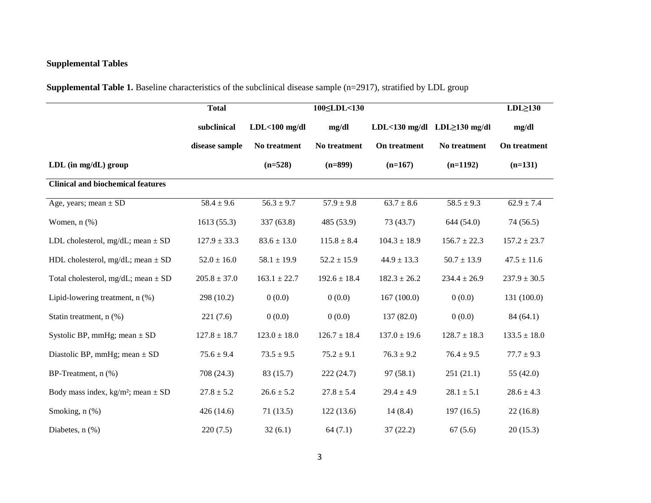## **Supplemental Tables**

**Supplemental Table 1.** Baseline characteristics of the subclinical disease sample (n=2917), stratified by LDL group

<span id="page-2-1"></span><span id="page-2-0"></span>

|                                                    | <b>Total</b>     |                  | 100 <rdl<130< th=""><th></th><th></th><th><math>LDL \geq 130</math></th></rdl<130<> |                  |                                    | $LDL \geq 130$   |
|----------------------------------------------------|------------------|------------------|-------------------------------------------------------------------------------------|------------------|------------------------------------|------------------|
|                                                    | subclinical      | $LDL<100$ mg/dl  | mg/dl                                                                               |                  | LDL<130 mg/dl LDL $\geq$ 130 mg/dl | mg/dl            |
|                                                    | disease sample   | No treatment     | No treatment                                                                        | On treatment     | No treatment                       | On treatment     |
| LDL (in mg/dL) group                               |                  | $(n=528)$        | $(n=899)$                                                                           | $(n=167)$        | $(n=1192)$                         | $(n=131)$        |
| <b>Clinical and biochemical features</b>           |                  |                  |                                                                                     |                  |                                    |                  |
| Age, years; mean $\pm$ SD                          | $58.4 \pm 9.6$   | $56.3 \pm 9.7$   | $57.9 \pm 9.8$                                                                      | $63.7 \pm 8.6$   | $58.5 \pm 9.3$                     | $62.9 \pm 7.4$   |
| Women, $n$ $(\%)$                                  | 1613(55.3)       | 337 (63.8)       | 485 (53.9)                                                                          | 73(43.7)         | 644 (54.0)                         | 74 (56.5)        |
| LDL cholesterol, mg/dL; mean $\pm$ SD              | $127.9 \pm 33.3$ | $83.6 \pm 13.0$  | $115.8 \pm 8.4$                                                                     | $104.3 \pm 18.9$ | $156.7 \pm 22.3$                   | $157.2 \pm 23.7$ |
| HDL cholesterol, mg/dL; mean $\pm$ SD              | $52.0 \pm 16.0$  | $58.1 \pm 19.9$  | $52.2 \pm 15.9$                                                                     | $44.9 \pm 13.3$  | $50.7 \pm 13.9$                    | $47.5 \pm 11.6$  |
| Total cholesterol, mg/dL; mean $\pm$ SD            | $205.8 \pm 37.0$ | $163.1 \pm 22.7$ | $192.6 \pm 18.4$                                                                    | $182.3 \pm 26.2$ | $234.4 \pm 26.9$                   | $237.9 \pm 30.5$ |
| Lipid-lowering treatment, n (%)                    | 298 (10.2)       | 0(0.0)           | 0(0.0)                                                                              | 167(100.0)       | 0(0.0)                             | 131 (100.0)      |
| Statin treatment, n (%)                            | 221(7.6)         | 0(0.0)           | 0(0.0)                                                                              | 137 (82.0)       | 0(0.0)                             | 84(64.1)         |
| Systolic BP, mmHg; mean $\pm$ SD                   | $127.8 \pm 18.7$ | $123.0 \pm 18.0$ | $126.7 \pm 18.4$                                                                    | $137.0 \pm 19.6$ | $128.7 \pm 18.3$                   | $133.5 \pm 18.0$ |
| Diastolic BP, mmHg; mean $\pm$ SD                  | $75.6 \pm 9.4$   | $73.5 \pm 9.5$   | $75.2 \pm 9.1$                                                                      | $76.3 \pm 9.2$   | $76.4 \pm 9.5$                     | $77.7 \pm 9.3$   |
| BP-Treatment, n (%)                                | 708 (24.3)       | 83 (15.7)        | 222(24.7)                                                                           | 97(58.1)         | 251(21.1)                          | 55 $(42.0)$      |
| Body mass index, kg/m <sup>2</sup> ; mean $\pm$ SD | $27.8 \pm 5.2$   | $26.6 \pm 5.2$   | $27.8 \pm 5.4$                                                                      | $29.4 \pm 4.9$   | $28.1 \pm 5.1$                     | $28.6 \pm 4.3$   |
| Smoking, n (%)                                     | 426(14.6)        | 71(13.5)         | 122(13.6)                                                                           | 14(8.4)          | 197(16.5)                          | 22(16.8)         |
| Diabetes, $n$ $%$                                  | 220(7.5)         | 32(6.1)          | 64(7.1)                                                                             | 37(22.2)         | 67(5.6)                            | 20(15.3)         |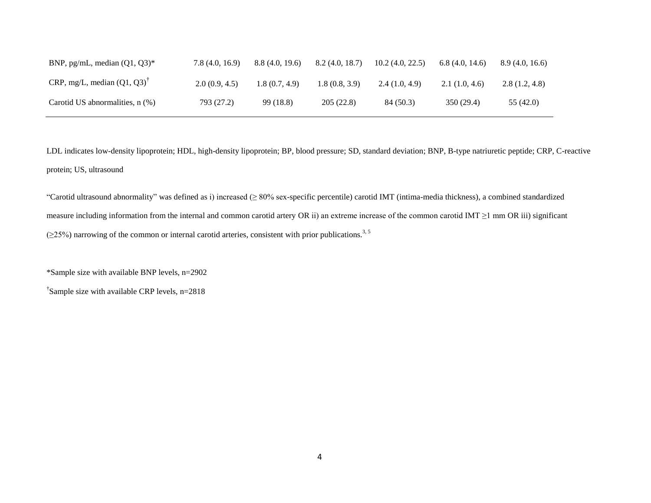| BNP, pg/mL, median $(Q1, Q3)^*$      | 7.8(4.0, 16.9) | 8.8(4.0, 19.6) | 8.2(4.0, 18.7) | 10.2(4.0, 22.5) | 6.8(4.0, 14.6) | 8.9(4.0, 16.6) |
|--------------------------------------|----------------|----------------|----------------|-----------------|----------------|----------------|
| CRP, mg/L, median $(Q1, Q3)^T$       | 2.0(0.9, 4.5)  | 1.8 (0.7, 4.9) | 1.8(0.8, 3.9)  | 2.4(1.0, 4.9)   | 2.1(1.0, 4.6)  | 2.8(1.2, 4.8)  |
| Carotid US abnormalities, $n$ $(\%)$ | 793 (27.2)     | 99 (18.8)      | 205(22.8)      | 84 (50.3)       | 350 (29.4)     | 55 (42.0)      |

LDL indicates low-density lipoprotein; HDL, high-density lipoprotein; BP, blood pressure; SD, standard deviation; BNP, B-type natriuretic peptide; CRP, C-reactive protein; US, ultrasound

"Carotid ultrasound abnormality" was defined as i) increased (≥ 80% sex-specific percentile) carotid IMT (intima-media thickness), a combined standardized measure including information from the internal and common carotid artery OR ii) an extreme increase of the common carotid IMT  $\geq$ 1 mm OR iii) significant  $(\geq$ 25%) narrowing of the common or internal carotid arteries, consistent with prior publications.<sup>3, 5</sup>

\*Sample size with available BNP levels, n=2902

† Sample size with available CRP levels, n=2818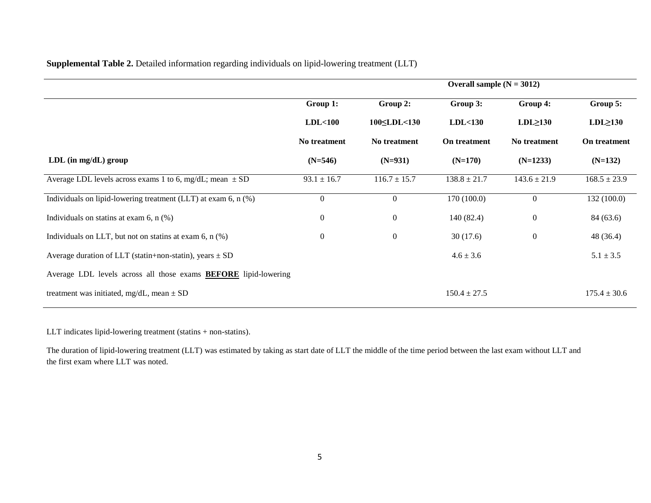**Supplemental Table 2.** Detailed information regarding individuals on lipid-lowering treatment (LLT)

|                                                                        | Overall sample $(N = 3012)$ |                  |                  |                  |                  |  |  |
|------------------------------------------------------------------------|-----------------------------|------------------|------------------|------------------|------------------|--|--|
|                                                                        | Group 1:                    | Group 2:         | Group 3:         | Group 4:         | Group 5:         |  |  |
|                                                                        | LDL<100                     | 100 LDL < 130    | LDL < 130        | $LDL \geq 130$   | $LDL \geq 130$   |  |  |
|                                                                        | No treatment                | No treatment     | On treatment     | No treatment     | On treatment     |  |  |
| $LDL$ (in mg/dL) group                                                 | $(N=546)$                   | $(N=931)$        | $(N=170)$        | $(N=1233)$       | $(N=132)$        |  |  |
| Average LDL levels across exams 1 to 6, mg/dL; mean $\pm$ SD           | $93.1 \pm 16.7$             | $116.7 \pm 15.7$ | $138.8 \pm 21.7$ | $143.6 \pm 21.9$ | $168.5 \pm 23.9$ |  |  |
| Individuals on lipid-lowering treatment (LLT) at exam 6, n (%)         | $\overline{0}$              | $\boldsymbol{0}$ | 170(100.0)       | $\overline{0}$   | 132 (100.0)      |  |  |
| Individuals on statins at exam 6, $n$ (%)                              | $\overline{0}$              | $\boldsymbol{0}$ | 140(82.4)        | $\boldsymbol{0}$ | 84 (63.6)        |  |  |
| Individuals on LLT, but not on statins at exam $6$ , n $(\%)$          | $\mathbf{0}$                | $\boldsymbol{0}$ | 30(17.6)         | $\boldsymbol{0}$ | 48 (36.4)        |  |  |
| Average duration of LLT (statin+non-statin), years $\pm$ SD            |                             |                  | $4.6 \pm 3.6$    |                  | $5.1 \pm 3.5$    |  |  |
| Average LDL levels across all those exams <b>BEFORE</b> lipid-lowering |                             |                  |                  |                  |                  |  |  |
| treatment was initiated, mg/dL, mean $\pm$ SD                          |                             |                  | $150.4 \pm 27.5$ |                  | $175.4 \pm 30.6$ |  |  |

<span id="page-4-0"></span>LLT indicates lipid-lowering treatment (statins + non-statins).

The duration of lipid-lowering treatment (LLT) was estimated by taking as start date of LLT the middle of the time period between the last exam without LLT and the first exam where LLT was noted.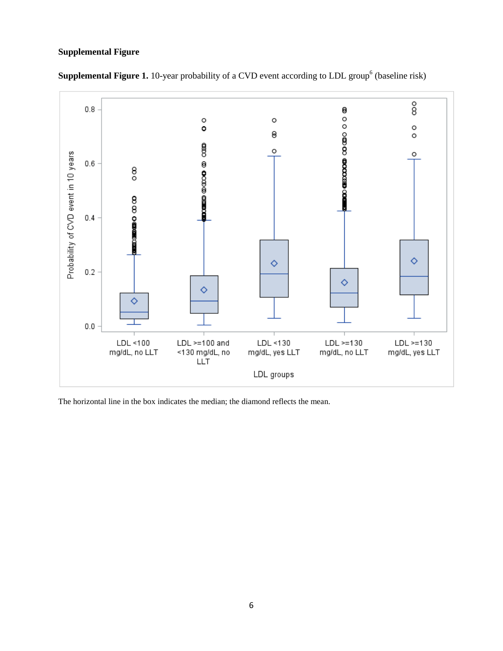### <span id="page-5-0"></span>**Supplemental Figure**



<span id="page-5-1"></span>**Supplemental Figure 1.** 10-year probability of a CVD event according to LDL group<sup>6</sup> (baseline risk)

The horizontal line in the box indicates the median; the diamond reflects the mean.